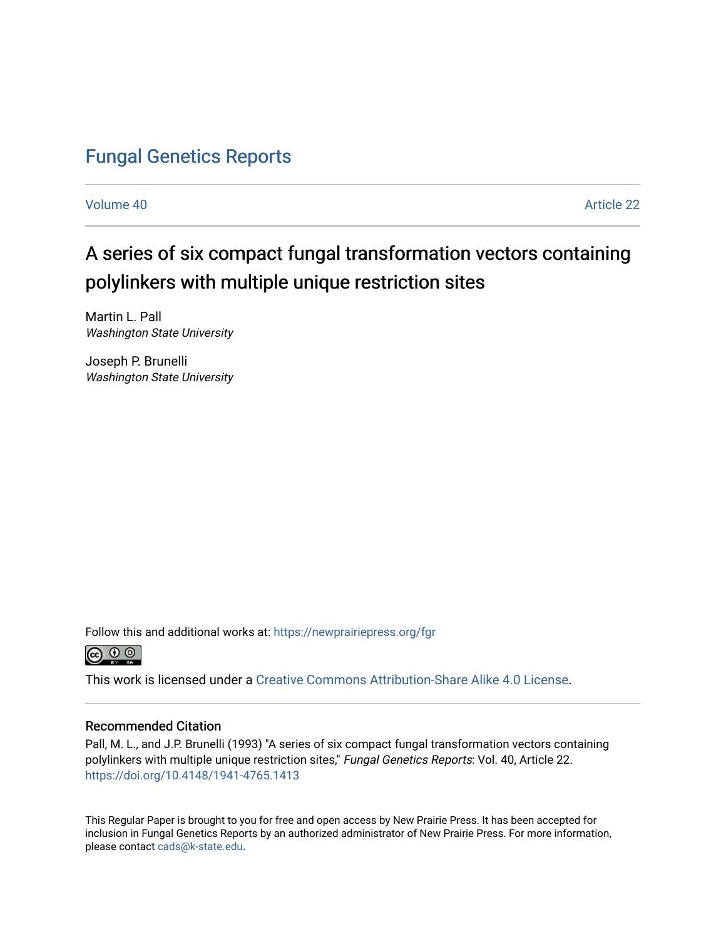## [Fungal Genetics Reports](https://newprairiepress.org/fgr)

[Volume 40](https://newprairiepress.org/fgr/vol40) [Article 22](https://newprairiepress.org/fgr/vol40/iss1/22) 

## A series of six compact fungal transformation vectors containing polylinkers with multiple unique restriction sites

Martin L. Pall Washington State University

Joseph P. Brunelli Washington State University

Follow this and additional works at: [https://newprairiepress.org/fgr](https://newprairiepress.org/fgr?utm_source=newprairiepress.org%2Ffgr%2Fvol40%2Fiss1%2F22&utm_medium=PDF&utm_campaign=PDFCoverPages) 



This work is licensed under a [Creative Commons Attribution-Share Alike 4.0 License.](https://creativecommons.org/licenses/by-sa/4.0/)

#### Recommended Citation

Pall, M. L., and J.P. Brunelli (1993) "A series of six compact fungal transformation vectors containing polylinkers with multiple unique restriction sites," Fungal Genetics Reports: Vol. 40, Article 22. <https://doi.org/10.4148/1941-4765.1413>

This Regular Paper is brought to you for free and open access by New Prairie Press. It has been accepted for inclusion in Fungal Genetics Reports by an authorized administrator of New Prairie Press. For more information, please contact [cads@k-state.edu.](mailto:cads@k-state.edu)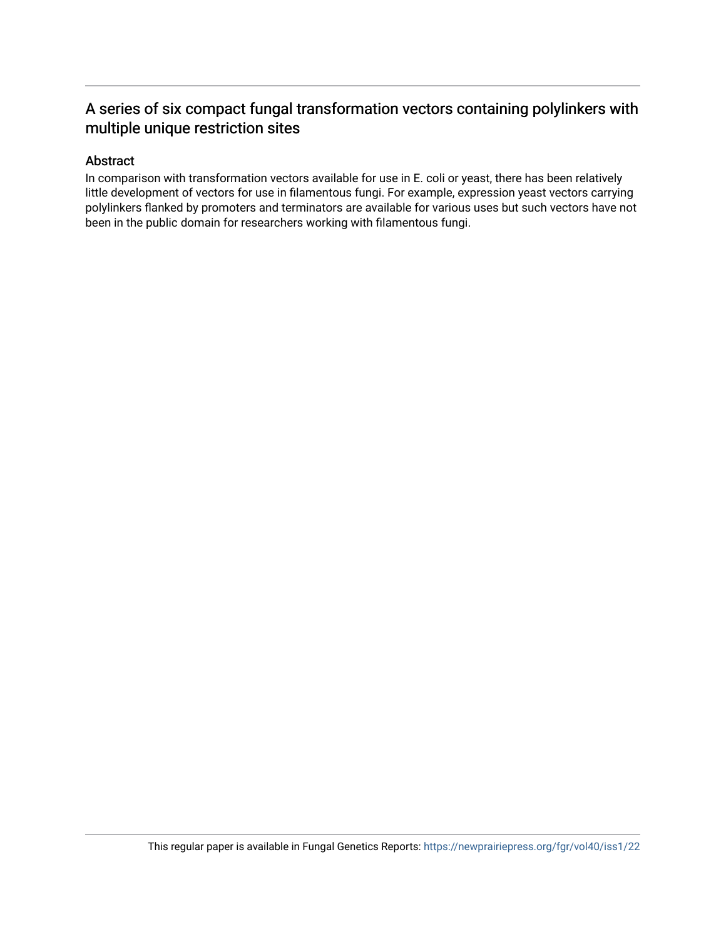### A series of six compact fungal transformation vectors containing polylinkers with multiple unique restriction sites

#### Abstract

In comparison with transformation vectors available for use in E. coli or yeast, there has been relatively little development of vectors for use in filamentous fungi. For example, expression yeast vectors carrying polylinkers flanked by promoters and terminators are available for various uses but such vectors have not been in the public domain for researchers working with filamentous fungi.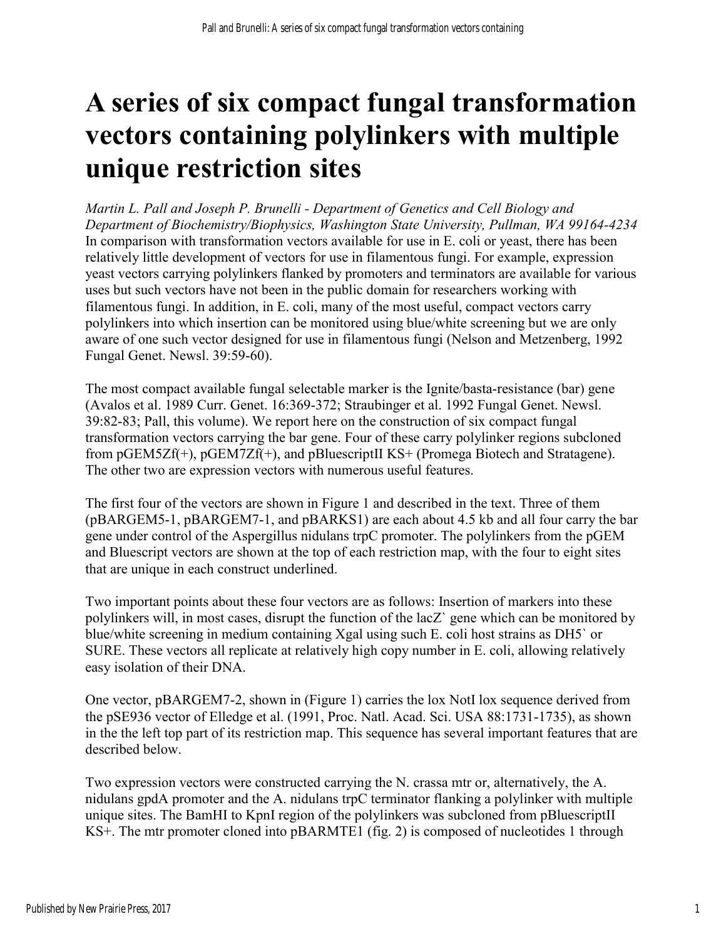# **A series of six compact fungal transformation vectors containing polylinkers with multiple unique restriction sites**

*Martin L. Pall and Joseph P. Brunelli - Department of Genetics and Cell Biology and Department of Biochemistry/Biophysics, Washington State University, Pullman, WA 99164-4234*  In comparison with transformation vectors available for use in E. coli or yeast, there has been relatively little development of vectors for use in filamentous fungi. For example, expression yeast vectors carrying polylinkers flanked by promoters and terminators are available for various uses but such vectors have not been in the public domain for researchers working with filamentous fungi. In addition, in E. coli, many of the most useful, compact vectors carry polylinkers into which insertion can be monitored using blue/white screening but we are only aware of one such vector designed for use in filamentous fungi (Nelson and Metzenberg, 1992 Fungal Genet. Newsl. 39:59-60).

The most compact available fungal selectable marker is the Ignite/basta-resistance (bar) gene (Avalos et al. 1989 Curr. Genet. 16:369-372; Straubinger et al. 1992 Fungal Genet. Newsl. 39:82-83; Pall, this volume). We report here on the construction of six compact fungal transformation vectors carrying the bar gene. Four of these carry polylinker regions subcloned from pGEM5Zf(+), pGEM7Zf(+), and pBluescriptII KS+ (Promega Biotech and Stratagene). The other two are expression vectors with numerous useful features.

The first four of the vectors are shown in Figure 1 and described in the text. Three of them (pBARGEM5-1, pBARGEM7-1, and pBARKS1) are each about 4.5 kb and all four carry the bar gene under control of the Aspergillus nidulans trpC promoter. The polylinkers from the pGEM and Bluescript vectors are shown at the top of each restriction map, with the four to eight sites that are unique in each construct underlined.

Two important points about these four vectors are as follows: Insertion of markers into these polylinkers will, in most cases, disrupt the function of the lacZ` gene which can be monitored by blue/white screening in medium containing Xgal using such E. coli host strains as DH5` or SURE. These vectors all replicate at relatively high copy number in E. coli, allowing relatively easy isolation of their DNA.

One vector, pBARGEM7-2, shown in (Figure 1) carries the lox NotI lox sequence derived from the pSE936 vector of Elledge et al. (1991, Proc. Natl. Acad. Sci. USA 88:1731-1735), as shown in the the left top part of its restriction map. This sequence has several important features that are described below.

Two expression vectors were constructed carrying the N. crassa mtr or, alternatively, the A. nidulans gpdA promoter and the A. nidulans trpC terminator flanking a polylinker with multiple unique sites. The BamHI to KpnI region of the polylinkers was subcloned from pBluescriptII KS+. The mtr promoter cloned into pBARMTE1 (fig. 2) is composed of nucleotides 1 through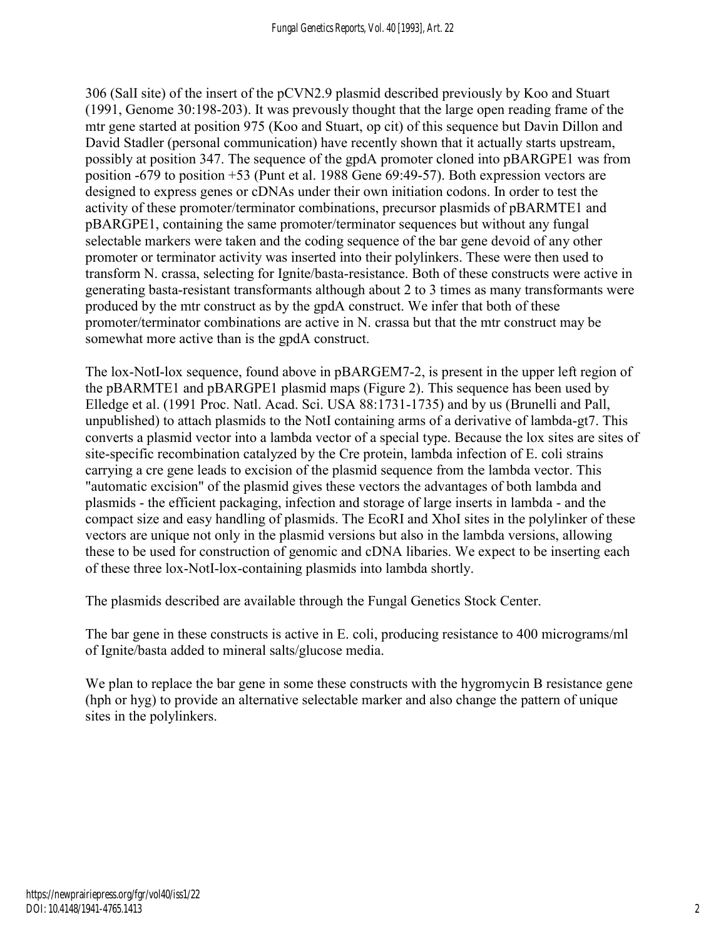306 (SalI site) of the insert of the pCVN2.9 plasmid described previously by Koo and Stuart (1991, Genome 30:198-203). It was prevously thought that the large open reading frame of the mtr gene started at position 975 (Koo and Stuart, op cit) of this sequence but Davin Dillon and David Stadler (personal communication) have recently shown that it actually starts upstream, possibly at position 347. The sequence of the gpdA promoter cloned into pBARGPE1 was from position -679 to position +53 (Punt et al. 1988 Gene 69:49-57). Both expression vectors are designed to express genes or cDNAs under their own initiation codons. In order to test the activity of these promoter/terminator combinations, precursor plasmids of pBARMTE1 and pBARGPE1, containing the same promoter/terminator sequences but without any fungal selectable markers were taken and the coding sequence of the bar gene devoid of any other promoter or terminator activity was inserted into their polylinkers. These were then used to transform N. crassa, selecting for Ignite/basta-resistance. Both of these constructs were active in generating basta-resistant transformants although about 2 to 3 times as many transformants were produced by the mtr construct as by the gpdA construct. We infer that both of these promoter/terminator combinations are active in N. crassa but that the mtr construct may be somewhat more active than is the gpdA construct.

The lox-NotI-lox sequence, found above in pBARGEM7-2, is present in the upper left region of the pBARMTE1 and pBARGPE1 plasmid maps (Figure 2). This sequence has been used by Elledge et al. (1991 Proc. Natl. Acad. Sci. USA 88:1731-1735) and by us (Brunelli and Pall, unpublished) to attach plasmids to the NotI containing arms of a derivative of lambda-gt7. This converts a plasmid vector into a lambda vector of a special type. Because the lox sites are sites of site-specific recombination catalyzed by the Cre protein, lambda infection of E. coli strains carrying a cre gene leads to excision of the plasmid sequence from the lambda vector. This "automatic excision" of the plasmid gives these vectors the advantages of both lambda and plasmids - the efficient packaging, infection and storage of large inserts in lambda - and the compact size and easy handling of plasmids. The EcoRI and XhoI sites in the polylinker of these vectors are unique not only in the plasmid versions but also in the lambda versions, allowing these to be used for construction of genomic and cDNA libaries. We expect to be inserting each of these three lox-NotI-lox-containing plasmids into lambda shortly.

The plasmids described are available through the Fungal Genetics Stock Center.

The bar gene in these constructs is active in E. coli, producing resistance to 400 micrograms/ml of Ignite/basta added to mineral salts/glucose media.

We plan to replace the bar gene in some these constructs with the hygromycin B resistance gene (hph or hyg) to provide an alternative selectable marker and also change the pattern of unique sites in the polylinkers.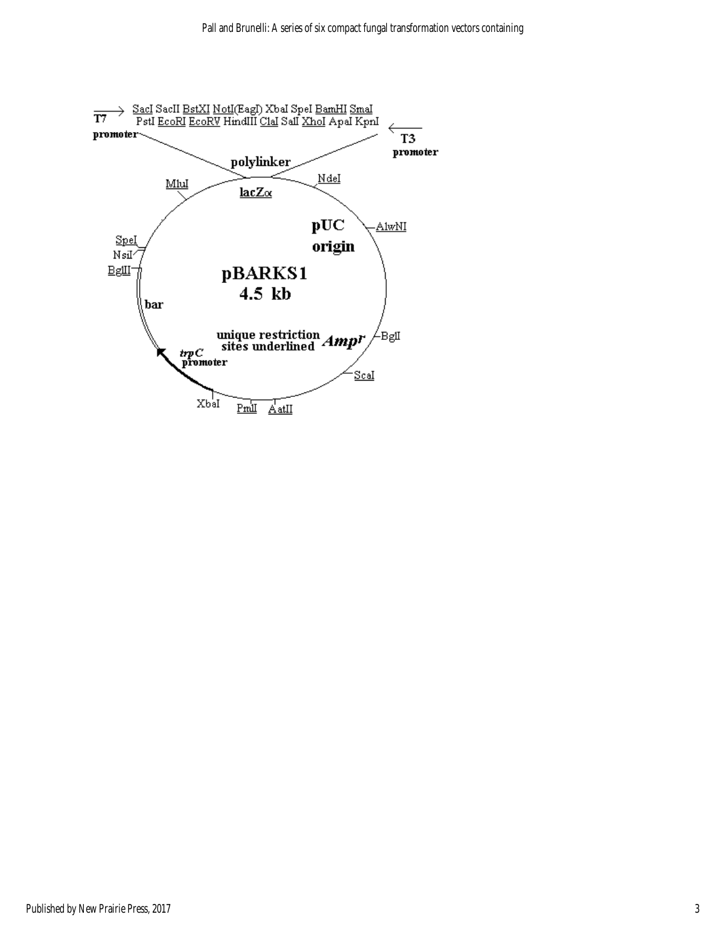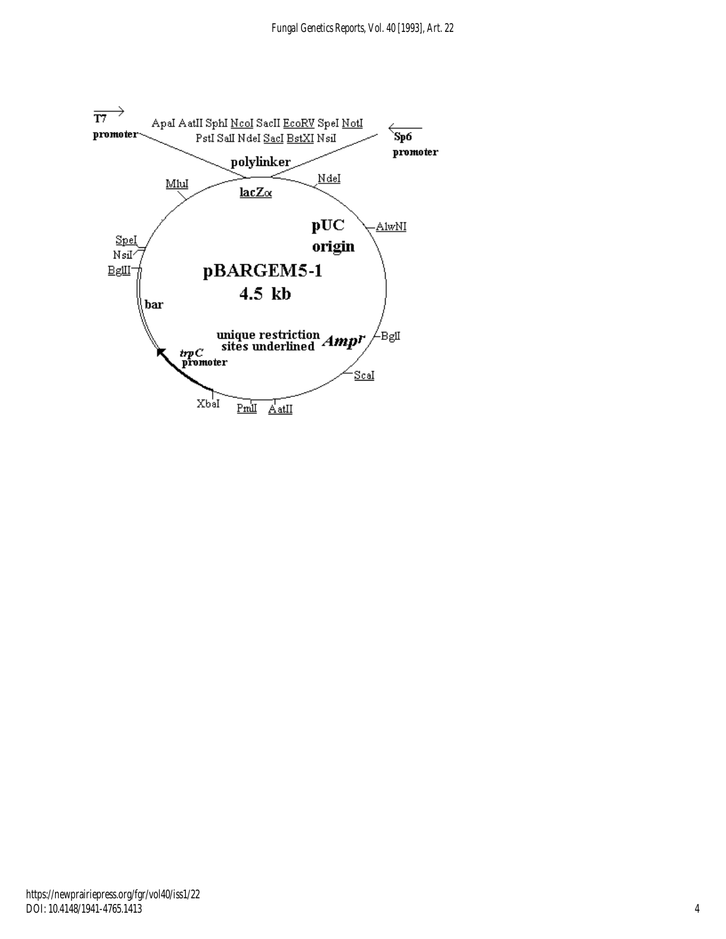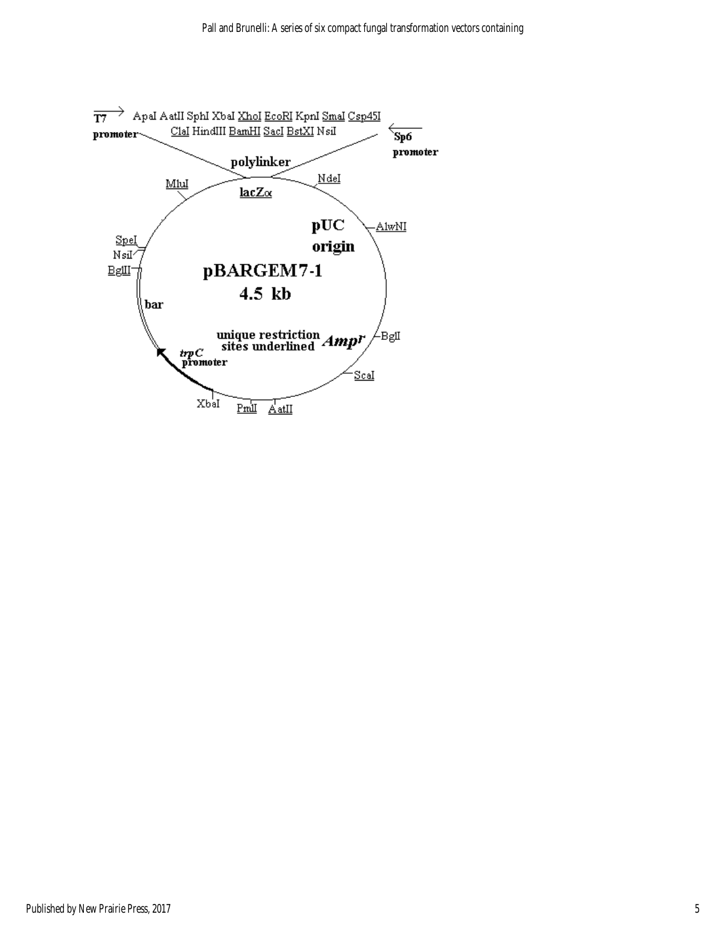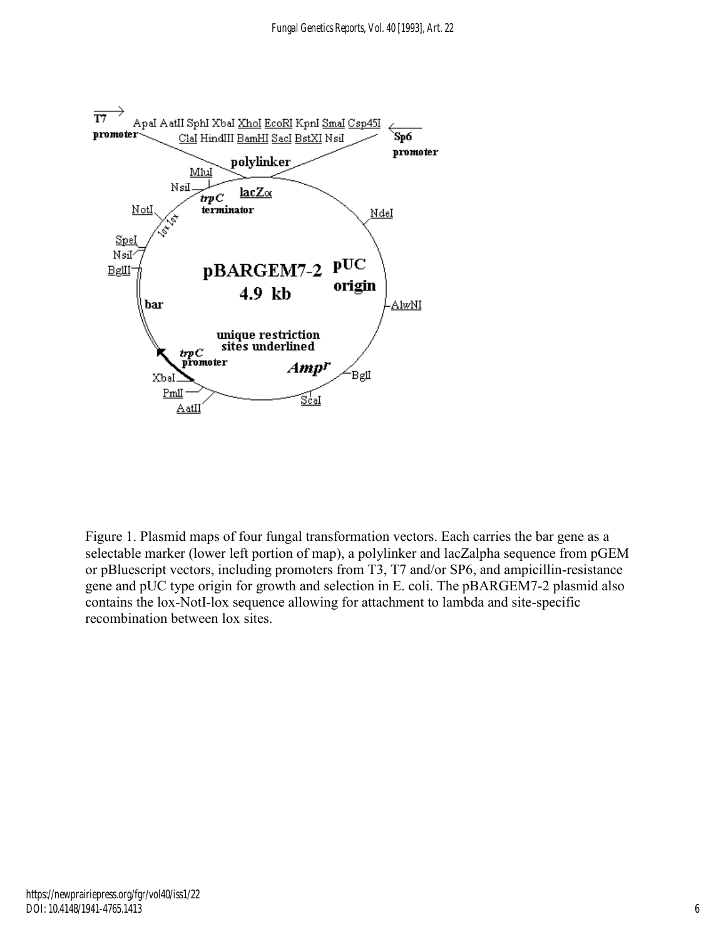

Figure 1. Plasmid maps of four fungal transformation vectors. Each carries the bar gene as a selectable marker (lower left portion of map), a polylinker and lacZalpha sequence from pGEM or pBluescript vectors, including promoters from T3, T7 and/or SP6, and ampicillin-resistance gene and pUC type origin for growth and selection in E. coli. The pBARGEM7-2 plasmid also contains the lox-NotI-lox sequence allowing for attachment to lambda and site-specific recombination between lox sites.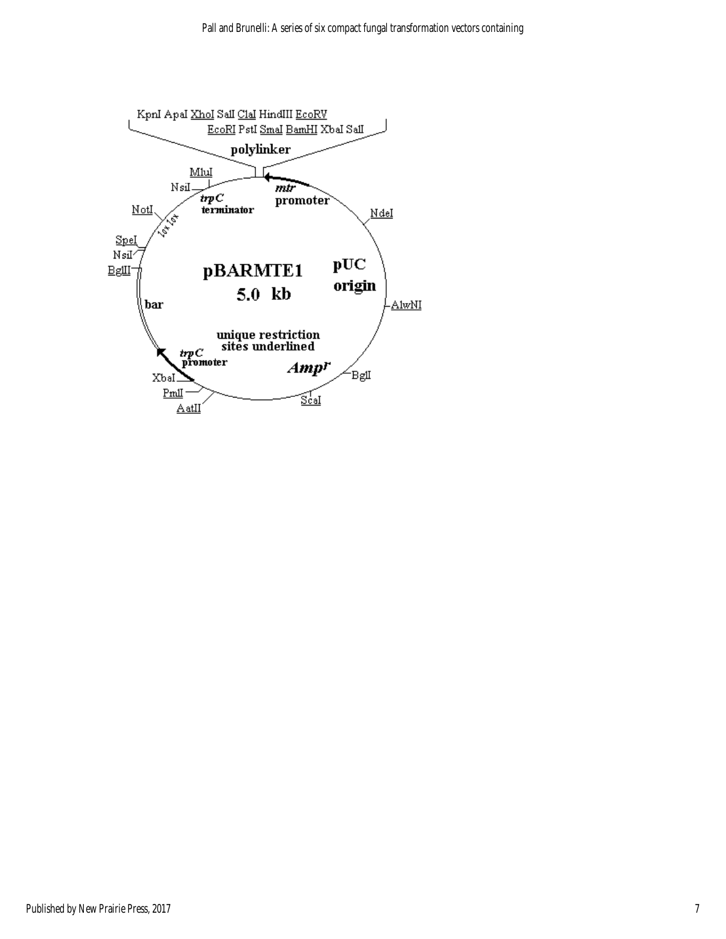